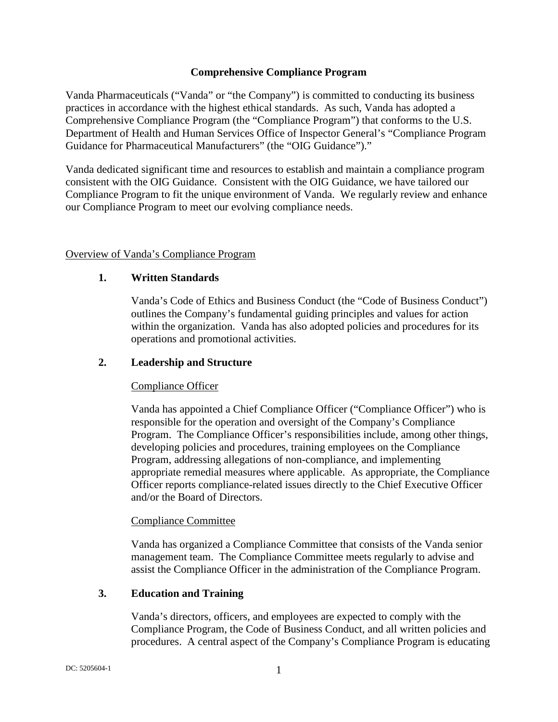#### **Comprehensive Compliance Program**

Vanda Pharmaceuticals ("Vanda" or "the Company") is committed to conducting its business practices in accordance with the highest ethical standards. As such, Vanda has adopted a Comprehensive Compliance Program (the "Compliance Program") that conforms to the U.S. Department of Health and Human Services Office of Inspector General's "Compliance Program Guidance for Pharmaceutical Manufacturers" (the "OIG Guidance")."

Vanda dedicated significant time and resources to establish and maintain a compliance program consistent with the OIG Guidance. Consistent with the OIG Guidance, we have tailored our Compliance Program to fit the unique environment of Vanda. We regularly review and enhance our Compliance Program to meet our evolving compliance needs.

### Overview of Vanda's Compliance Program

### **1. Written Standards**

Vanda's Code of Ethics and Business Conduct (the "Code of Business Conduct") outlines the Company's fundamental guiding principles and values for action within the organization. Vanda has also adopted policies and procedures for its operations and promotional activities.

#### **2. Leadership and Structure**

#### Compliance Officer

Vanda has appointed a Chief Compliance Officer ("Compliance Officer") who is responsible for the operation and oversight of the Company's Compliance Program. The Compliance Officer's responsibilities include, among other things, developing policies and procedures, training employees on the Compliance Program, addressing allegations of non-compliance, and implementing appropriate remedial measures where applicable. As appropriate, the Compliance Officer reports compliance-related issues directly to the Chief Executive Officer and/or the Board of Directors.

#### Compliance Committee

Vanda has organized a Compliance Committee that consists of the Vanda senior management team. The Compliance Committee meets regularly to advise and assist the Compliance Officer in the administration of the Compliance Program.

#### **3. Education and Training**

Vanda's directors, officers, and employees are expected to comply with the Compliance Program, the Code of Business Conduct, and all written policies and procedures. A central aspect of the Company's Compliance Program is educating